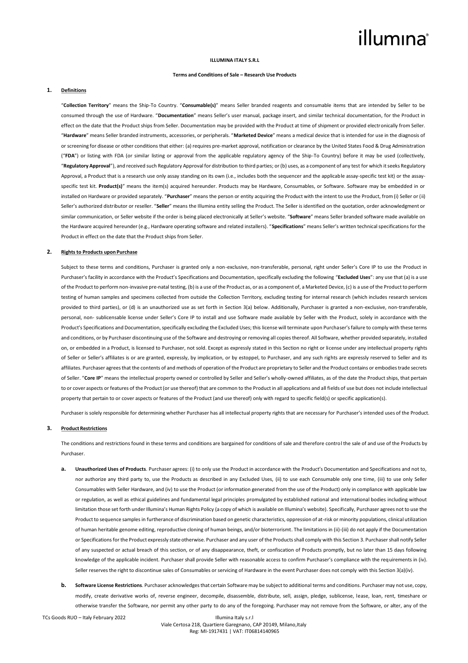#### **ILLUMINA ITALY S.R.L**

#### **Terms and Conditions of Sale – Research Use Products**

## **1. Definitions**

"**Collection Territory**" means the Ship-To Country. "**Consumable(s)**" means Seller branded reagents and consumable items that are intended by Seller to be consumed through the use of Hardware. "**Documentation**" means Seller's user manual, package insert, and similar technical documentation, for the Product in effect on the date that the Product ships from Seller. Documentation may be provided with the Product at time of shipment or provided electronically from Seller. "**Hardware**" means Seller branded instruments, accessories, or peripherals. "**Marketed Device**" means a medical device that is intended for use in the diagnosis of or screening for disease or other conditions that either: (a) requires pre-market approval, notification or clearance by the United States Food & Drug Administration ("**FDA**") or listing with FDA (or similar listing or approval from the applicable regulatory agency of the Ship-To Country) before it may be used (collectively, "**Regulatory Approval**"), and received such Regulatory Approval for distribution to third parties; or (b) uses, as a component of any test for which it seeks Regulatory Approval, a Product that is a research use only assay standing on its own (i.e., includes both the sequencer and the applicable assay-specific test kit) or the assayspecific test kit. Product(s)" means the item(s) acquired hereunder. Products may be Hardware, Consumables, or Software. Software may be embedded in or installed on Hardware or provided separately. "**Purchaser**" means the person or entity acquiring the Product with the intent to use the Product, from (i) Seller or (ii) Seller's authorized distributor or reseller. "**Seller**" means the Illumina entity selling the Product. The Seller is identified on the quotation, order acknowledgment or similar communication, or Seller website if the order is being placed electronically at Seller's website. "**Software**" means Seller branded software made available on the Hardware acquired hereunder (e.g., Hardware operating software and related installers). "**Specifications**" means Seller's written technical specifications for the Product in effect on the date that the Product ships from Seller.

#### **2. Rights to Products upon Purchase**

Subject to these terms and conditions, Purchaser is granted only a non-exclusive, non-transferable, personal, right under Seller's Core IP to use the Product in Purchaser's facility in accordance with the Product's Specifications and Documentation, specifically excluding the following "**Excluded Uses**": any use that (a) is a use of the Product to perform non-invasive pre-natal testing, (b) is a use of the Product as, or as a component of, a Marketed Device, (c) is a use of the Product to perform testing of human samples and specimens collected from outside the Collection Territory, excluding testing for internal research (which includes research services provided to third parties), or (d) is an unauthorized use as set forth in Section 3(a) below. Additionally, Purchaser is granted a non-exclusive, non-transferable, personal, non- sublicensable license under Seller's Core IP to install and use Software made available by Seller with the Product, solely in accordance with the Product's Specifications and Documentation, specifically excluding the Excluded Uses; this license will terminate upon Purchaser's failure to comply with these terms and conditions, or by Purchaser discontinuing use of the Software and destroying or removing all copies thereof. All Software, whether provided separately, installed on, or embedded in a Product, is licensed to Purchaser, not sold. Except as expressly stated in this Section no right or license under any intellectual property rights of Seller or Seller's affiliates is or are granted, expressly, by implication, or by estoppel, to Purchaser, and any such rights are expressly reserved to Seller and its affiliates. Purchaser agrees that the contents of and methods of operation of the Product are proprietary to Seller and the Product contains or embodies trade secrets of Seller. "**Core IP**" means the intellectual property owned or controlled by Seller and Seller's wholly-owned affiliates, as of the date the Product ships, that pertain to or cover aspects or features of the Product (or use thereof) that are common to the Product in all applications and all fields of use but does not include intellectual property that pertain to or cover aspects or features of the Product (and use thereof) only with regard to specific field(s) or specific application(s).

Purchaser is solely responsible for determining whether Purchaser has all intellectual property rights that are necessary for Purchaser's intended uses of the Product.

#### **3. Product Restrictions**

The conditions and restrictions found in these terms and conditions are bargained for conditions of sale and therefore control the sale of and use of the Products by Purchaser.

- **a. Unauthorized Uses of Products**. Purchaser agrees: (i) to only use the Product in accordance with the Product's Documentation and Specifications and not to, nor authorize any third party to, use the Products as described in any Excluded Uses, (ii) to use each Consumable only one time, (iii) to use only Seller Consumables with Seller Hardware, and (iv) to use the Product (or information generated from the use of the Product) only in compliance with applicable law or regulation, as well as ethical guidelines and fundamental legal principles promulgated by established national and international bodies including without limitation those set forth under Illumina's Human Rights Policy (a copy of which is available on Illumina's website). Specifically, Purchaser agrees not to use the Product to sequence samples in furtherance of discrimination based on genetic characteristics, oppression of at-risk or minority populations, clinical utilization of human heritable genome editing, reproductive cloning of human beings, and/or bioterrorismt. The limitations in (ii)-(iii) do not apply if the Documentation or Specifications for the Product expressly state otherwise. Purchaser and any user of the Products shall comply with this Section 3. Purchaser shall notify Seller of any suspected or actual breach of this section, or of any disappearance, theft, or confiscation of Products promptly, but no later than 15 days following knowledge of the applicable incident. Purchaser shall provide Seller with reasonable access to confirm Purchaser's compliance with the requirements in (iv). Seller reserves the right to discontinue sales of Consumables or servicing of Hardware in the event Purchaser does not comply with this Section 3(a)(iv).
- **b. Software License Restrictions**. Purchaser acknowledges that certain Software may be subject to additional terms and conditions. Purchaser may not use, copy, modify, create derivative works of, reverse engineer, decompile, disassemble, distribute, sell, assign, pledge, sublicense, lease, loan, rent, timeshare or otherwise transfer the Software, nor permit any other party to do any of the foregoing. Purchaser may not remove from the Software, or alter, any of the

TCs Goods RUO – Italy February 2022 Illumina Italy s.r.l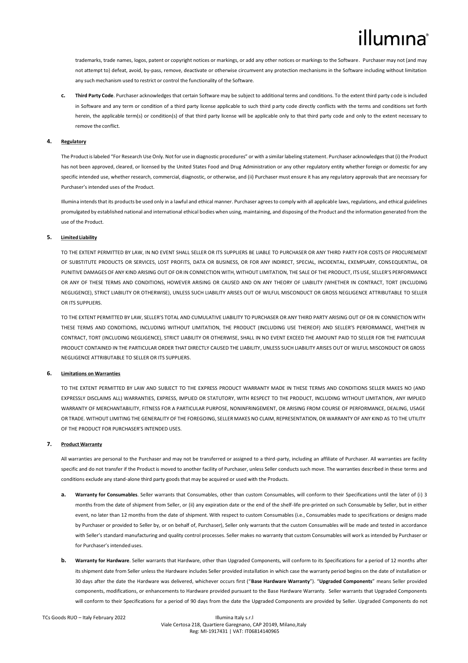trademarks, trade names, logos, patent or copyright notices or markings, or add any other notices or markings to the Software. Purchaser may not (and may not attempt to) defeat, avoid, by-pass, remove, deactivate or otherwise circumvent any protection mechanisms in the Software including without limitation any such mechanism used to restrict or control the functionality of the Software.

**c. Third Party Code**. Purchaser acknowledges that certain Software may be subject to additional terms and conditions. To the extent third party code is included in Software and any term or condition of a third party license applicable to such third party code directly conflicts with the terms and conditions set forth herein, the applicable term(s) or condition(s) of that third party license will be applicable only to that third party code and only to the extent necessary to remove the conflict.

## **4. Regulatory**

The Product is labeled "For Research Use Only. Not for use in diagnostic procedures" or with a similar labeling statement. Purchaser acknowledges that (i) the Product has not been approved, cleared, or licensed by the United States Food and Drug Administration or any other regulatory entity whether foreign or domestic for any specific intended use, whether research, commercial, diagnostic, or otherwise, and (ii) Purchaser must ensure it has any regulatory approvals that are necessary for Purchaser's intended uses of the Product.

Illumina intends that its products be used only in a lawful and ethical manner. Purchaser agrees to comply with all applicable laws, regulations, and ethical guidelines promulgated by established national and international ethical bodies when using, maintaining, and disposing of the Product and the information generated from the use of the Product.

## **5. Limited Liability**

TO THE EXTENT PERMITTED BY LAW, IN NO EVENT SHALL SELLER OR ITS SUPPLIERS BE LIABLE TO PURCHASER OR ANY THIRD PARTY FOR COSTS OF PROCUREMENT OF SUBSTITUTE PRODUCTS OR SERVICES, LOST PROFITS, DATA OR BUSINESS, OR FOR ANY INDIRECT, SPECIAL, INCIDENTAL, EXEMPLARY, CONSEQUENTIAL, OR PUNITIVE DAMAGES OF ANY KIND ARISING OUT OF OR IN CONNECTION WITH, WITHOUT LIMITATION, THE SALE OF THE PRODUCT, ITS USE, SELLER'S PERFORMANCE OR ANY OF THESE TERMS AND CONDITIONS, HOWEVER ARISING OR CAUSED AND ON ANY THEORY OF LIABILITY (WHETHER IN CONTRACT, TORT (INCLUDING NEGLIGENCE), STRICT LIABILITY OR OTHERWISE), UNLESS SUCH LIABILITY ARISES OUT OF WILFUL MISCONDUCT OR GROSS NEGLIGENCE ATTRIBUTABLE TO SELLER OR ITS SUPPLIERS.

TO THE EXTENT PERMITTED BY LAW, SELLER'S TOTAL AND CUMULATIVE LIABILITY TO PURCHASER OR ANY THIRD PARTY ARISING OUT OF OR IN CONNECTION WITH THESE TERMS AND CONDITIONS, INCLUDING WITHOUT LIMITATION, THE PRODUCT (INCLUDING USE THEREOF) AND SELLER'S PERFORMANCE, WHETHER IN CONTRACT, TORT (INCLUDING NEGLIGENCE), STRICT LIABILITY OR OTHERWISE, SHALL IN NO EVENT EXCEED THE AMOUNT PAID TO SELLER FOR THE PARTICULAR PRODUCT CONTAINED IN THE PARTICULAR ORDER THAT DIRECTLY CAUSED THE LIABILITY, UNLESS SUCH LIABILITY ARISES OUT OF WILFUL MISCONDUCT OR GROSS NEGLIGENCE ATTRIBUTABLE TO SELLER OR ITS SUPPLIERS.

## **6. Limitations on Warranties**

TO THE EXTENT PERMITTED BY LAW AND SUBJECT TO THE EXPRESS PRODUCT WARRANTY MADE IN THESE TERMS AND CONDITIONS SELLER MAKES NO (AND EXPRESSLY DISCLAIMS ALL) WARRANTIES, EXPRESS, IMPLIED OR STATUTORY, WITH RESPECT TO THE PRODUCT, INCLUDING WITHOUT LIMITATION, ANY IMPLIED WARRANTY OF MERCHANTABILITY, FITNESS FOR A PARTICULAR PURPOSE, NONINFRINGEMENT, OR ARISING FROM COURSE OF PERFORMANCE, DEALING, USAGE OR TRADE. WITHOUT LIMITING THE GENERALITY OF THE FOREGOING, SELLER MAKES NO CLAIM, REPRESENTATION, OR WARRANTY OF ANY KIND AS TO THE UTILITY OF THE PRODUCT FOR PURCHASER'S INTENDED USES.

## **7. Product Warranty**

All warranties are personal to the Purchaser and may not be transferred or assigned to a third-party, including an affiliate of Purchaser. All warranties are facility specific and do not transfer if the Product is moved to another facility of Purchaser, unless Seller conducts such move. The warranties described in these terms and conditions exclude any stand-alone third party goods that may be acquired or used with the Products.

- **a. Warranty for Consumables**. Seller warrants that Consumables, other than custom Consumables, will conform to their Specifications until the later of (i) 3 months from the date of shipment from Seller, or (ii) any expiration date or the end of the shelf-life pre-printed on such Consumable by Seller, but in either event, no later than 12 months from the date of shipment. With respect to custom Consumables (i.e., Consumables made to specifications or designs made by Purchaser or provided to Seller by, or on behalf of, Purchaser), Seller only warrants that the custom Consumables will be made and tested in accordance with Seller's standard manufacturing and quality control processes. Seller makes no warranty that custom Consumables will work as intended by Purchaser or for Purchaser's intended uses.
- **b. Warranty for Hardware**. Seller warrants that Hardware, other than Upgraded Components, will conform to its Specifications for a period of 12 months after its shipment date from Seller unless the Hardware includes Seller provided installation in which case the warranty period begins on the date of installation or 30 days after the date the Hardware was delivered, whichever occurs first ("**Base Hardware Warranty**"). "**Upgraded Components**" means Seller provided components, modifications, or enhancements to Hardware provided pursuant to the Base Hardware Warranty. Seller warrants that Upgraded Components will conform to their Specifications for a period of 90 days from the date the Upgraded Components are provided by Seller. Upgraded Components do not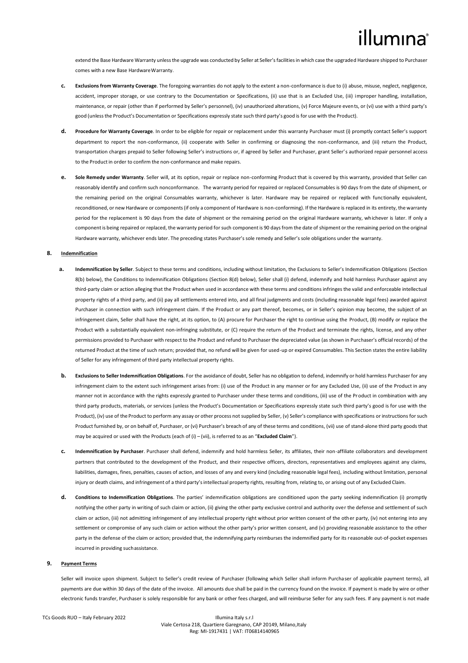extend the Base Hardware Warranty unless the upgrade was conducted by Seller at Seller's facilities in which case the upgraded Hardware shipped to Purchaser comes with a new Base HardwareWarranty.

- **c. Exclusions from Warranty Coverage**. The foregoing warranties do not apply to the extent a non-conformance is due to (i) abuse, misuse, neglect, negligence, accident, improper storage, or use contrary to the Documentation or Specifications, (ii) use that is an Excluded Use, (iii) improper handling, installation, maintenance, or repair (other than if performed by Seller's personnel), (iv) unauthorized alterations, (v) Force Majeure events, or (vi) use with a third party's good (unlessthe Product's Documentation or Specifications expressly state such third party's good is for use with the Product).
- **d. Procedure for Warranty Coverage**. In order to be eligible for repair or replacement under this warranty Purchaser must (i) promptly contact Seller's support department to report the non-conformance, (ii) cooperate with Seller in confirming or diagnosing the non-conformance, and (iii) return the Product, transportation charges prepaid to Seller following Seller's instructions or, if agreed by Seller and Purchaser, grant Seller's authorized repair personnel access to the Product in order to confirm the non-conformance and make repairs.
- **e. Sole Remedy under Warranty**. Seller will, at its option, repair or replace non-conforming Product that is covered by this warranty, provided that Seller can reasonably identify and confirm such nonconformance. The warranty period for repaired or replaced Consumables is 90 days from the date of shipment, or the remaining period on the original Consumables warranty, whichever is later. Hardware may be repaired or replaced with functionally equivalent, reconditioned, or new Hardware or components (if only a component of Hardware is non-conforming). If the Hardware is replaced in its entirety, the warranty period for the replacement is 90 days from the date of shipment or the remaining period on the original Hardware warranty, whichever is later. If only a component is being repaired or replaced, the warranty period forsuch component is 90 daysfrom the date of shipment or the remaining period on the original Hardware warranty, whichever ends later. The preceding states Purchaser's sole remedy and Seller's sole obligations under the warranty.

#### **8. Indemnification**

- **a. Indemnification by Seller**. Subject to these terms and conditions, including without limitation, the Exclusions to Seller's Indemnification Obligations (Section 8(b) below), the Conditions to Indemnification Obligations (Section 8(d) below), Seller shall (i) defend, indemnify and hold harmless Purchaser against any third-party claim or action alleging that the Product when used in accordance with these terms and conditions infringes the valid and enforceable intellectual property rights of a third party, and (ii) pay all settlements entered into, and all final judgments and costs (including reasonable legal fees) awarded against Purchaser in connection with such infringement claim. If the Product or any part thereof, becomes, or in Seller's opinion may become, the subject of an infringement claim, Seller shall have the right, at its option, to (A) procure for Purchaser the right to continue using the Product, (B) modify or replace the Product with a substantially equivalent non-infringing substitute, or (C) require the return of the Product and terminate the rights, license, and any other permissions provided to Purchaser with respect to the Product and refund to Purchaser the depreciated value (as shown in Purchaser's official records) of the returned Product at the time of such return; provided that, no refund will be given for used-up or expired Consumables. This Section states the entire liability of Seller for any infringement of third party intellectual property rights.
- **b. Exclusions to Seller Indemnification Obligations**. For the avoidance of doubt, Seller has no obligation to defend, indemnify or hold harmless Purchaser for any infringement claim to the extent such infringement arises from: (i) use of the Product in any manner or for any Excluded Use, (ii) use of the Product in any manner not in accordance with the rights expressly granted to Purchaser under these terms and conditions, (iii) use of the Product in combination with any third party products, materials, or services (unless the Product's Documentation or Specifications expressly state such third party's good is for use with the Product), (iv) use of the Product to perform any assay or other process not supplied by Seller, (v) Seller's compliance with specifications or instructions for such Product furnished by, or on behalf of, Purchaser, or (vi) Purchaser's breach of any of these terms and conditions, (vii) use of stand-alone third party goods that may be acquired or used with the Products (each of (i) – (vii), is referred to as an "**Excluded Claim**").
- **c. Indemnification by Purchaser**. Purchaser shall defend, indemnify and hold harmless Seller, its affiliates, their non-affiliate collaborators and development partners that contributed to the development of the Product, and their respective officers, directors, representatives and employees against any claims, liabilities, damages, fines, penalties, causes of action, and losses of any and every kind (including reasonable legal fees), including without limitation, personal injury or death claims, and infringement of a third party'sintellectual property rights, resulting from, relating to, or arising out of any Excluded Claim.
- **d. Conditions to Indemnification Obligations**. The parties' indemnification obligations are conditioned upon the party seeking indemnification (i) promptly notifying the other party in writing of such claim or action, (ii) giving the other party exclusive control and authority over the defense and settlement of such claim or action, (iii) not admitting infringement of any intellectual property right without prior written consent of the other party, (iv) not entering into any settlement or compromise of any such claim or action without the other party's prior written consent, and (v) providing reasonable assistance to the other party in the defense of the claim or action; provided that, the indemnifying party reimburses the indemnified party for its reasonable out-of-pocket expenses incurred in providing suchassistance.

#### **9. Payment Terms**

Seller will invoice upon shipment. Subject to Seller's credit review of Purchaser (following which Seller shall inform Purchaser of applicable payment terms), all payments are due within 30 days of the date of the invoice. All amounts due shall be paid in the currency found on the invoice. If payment is made by wire or other electronic funds transfer, Purchaser is solely responsible for any bank or other fees charged, and will reimburse Seller for any such fees. If any payment is not made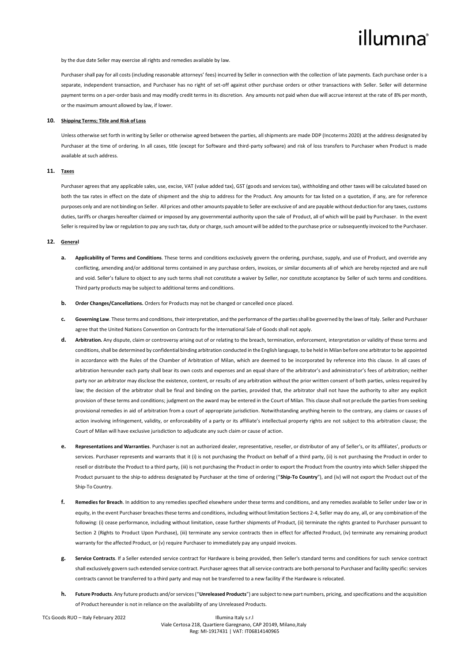by the due date Seller may exercise all rights and remedies available by law.

Purchaser shall pay for all costs (including reasonable attorneys' fees) incurred by Seller in connection with the collection of late payments. Each purchase order is a separate, independent transaction, and Purchaser has no right of set-off against other purchase orders or other transactions with Seller. Seller will determine payment terms on a per-order basis and may modify credit terms in its discretion. Any amounts not paid when due will accrue interest at the rate of 8% per month, or the maximum amount allowed by law, if lower.

#### **10. Shipping Terms; Title and Risk of Loss**

Unless otherwise set forth in writing by Seller or otherwise agreed between the parties, all shipments are made DDP (Incoterms 2020) at the address designated by Purchaser at the time of ordering. In all cases, title (except for Software and third-party software) and risk of loss transfers to Purchaser when Product is made available at such address.

## **11. Taxes**

Purchaser agrees that any applicable sales, use, excise, VAT (value added tax), GST (goods and services tax), withholding and other taxes will be calculated based on both the tax rates in effect on the date of shipment and the ship to address for the Product. Any amounts for tax listed on a quotation, if any, are for reference purposes only and are not binding on Seller. All prices and other amounts payable to Seller are exclusive of and are payable without deduction for any taxes, customs duties, tariffs or charges hereafter claimed or imposed by any governmental authority upon the sale of Product, all of which will be paid by Purchaser. In the event Seller is required by law or regulation to pay any such tax, duty or charge, such amount will be added to the purchase price or subsequently invoiced to the Purchaser.

## **12. General**

- **a. Applicability of Terms and Conditions**. These terms and conditions exclusively govern the ordering, purchase, supply, and use of Product, and override any conflicting, amending and/or additional terms contained in any purchase orders, invoices, or similar documents all of which are hereby rejected and are null and void. Seller's failure to object to any such terms shall not constitute a waiver by Seller, nor constitute acceptance by Seller of such terms and conditions. Third party products may be subject to additional terms and conditions.
- **b. Order Changes/Cancellations.** Orders for Products may not be changed or cancelled once placed.
- **c. Governing Law**. These terms and conditions, their interpretation, and the performance of the parties shall be governed by the laws of Italy. Seller and Purchaser agree that the United Nations Convention on Contracts for the International Sale of Goods shall not apply.
- **d. Arbitration.** Any dispute, claim or controversy arising out of or relating to the breach, termination, enforcement, interpretation or validity of these terms and conditions, shall be determined by confidential binding arbitration conducted in the English language, to be held in Milan before one arbitrator to be appointed in accordance with the Rules of the Chamber of Arbitration of Milan, which are deemed to be incorporated by reference into this clause. In all cases of arbitration hereunder each party shall bear its own costs and expenses and an equal share of the arbitrator's and administrator's fees of arbitration; neither party nor an arbitrator may disclose the existence, content, or results of any arbitration without the prior written consent of both parties, unless required by law; the decision of the arbitrator shall be final and binding on the parties, provided that, the arbitrator shall not have the authority to alter any explicit provision of these terms and conditions; judgment on the award may be entered in the Court of Milan. This clause shall not preclude the parties from seeking provisional remedies in aid of arbitration from a court of appropriate jurisdiction. Notwithstanding anything herein to the contrary, any claims or causes of action involving infringement, validity, or enforceability of a party or its affiliate's intellectual property rights are not subject to this arbitration clause; the Court of Milan will have exclusive jurisdiction to adjudicate any such claim or cause of action.
- **e. Representations and Warranties**. Purchaser is not an authorized dealer, representative, reseller, or distributor of any of Seller's, or its affiliates', products or services. Purchaser represents and warrants that it (i) is not purchasing the Product on behalf of a third party, (ii) is not purchasing the Product in order to resell or distribute the Product to a third party, (iii) is not purchasing the Product in order to export the Product from the country into which Seller shipped the Product pursuant to the ship-to address designated by Purchaser at the time of ordering ("**Ship-To Country**"), and (iv) will not export the Product out of the Ship-To Country.
- **f. Remedies for Breach**. In addition to any remedies specified elsewhere under these terms and conditions, and any remedies available to Seller under law or in equity, in the event Purchaser breaches these terms and conditions, including without limitation Sections 2-4, Seller may do any, all, or any combination of the following: (i) cease performance, including without limitation, cease further shipments of Product, (ii) terminate the rights granted to Purchaser pursuant to Section 2 (Rights to Product Upon Purchase), (iii) terminate any service contracts then in effect for affected Product, (iv) terminate any remaining product warranty for the affected Product, or (v) require Purchaser to immediately pay any unpaid invoices.
- **g. Service Contracts**. If a Seller extended service contract for Hardware is being provided, then Seller's standard terms and conditions for such service contract shall exclusively govern such extended service contract. Purchaser agrees that all service contracts are both personal to Purchaser and facility specific: services contracts cannot be transferred to a third party and may not be transferred to a new facility if the Hardware is relocated.
- **h. Future Products**. Any future products and/or services ("**Unreleased Products**") are subject to new part numbers, pricing, and specifications and the acquisition of Product hereunder is not in reliance on the availability of any Unreleased Products.

TCs Goods RUO – Italy February 2022 Illumina Italy s.r.l